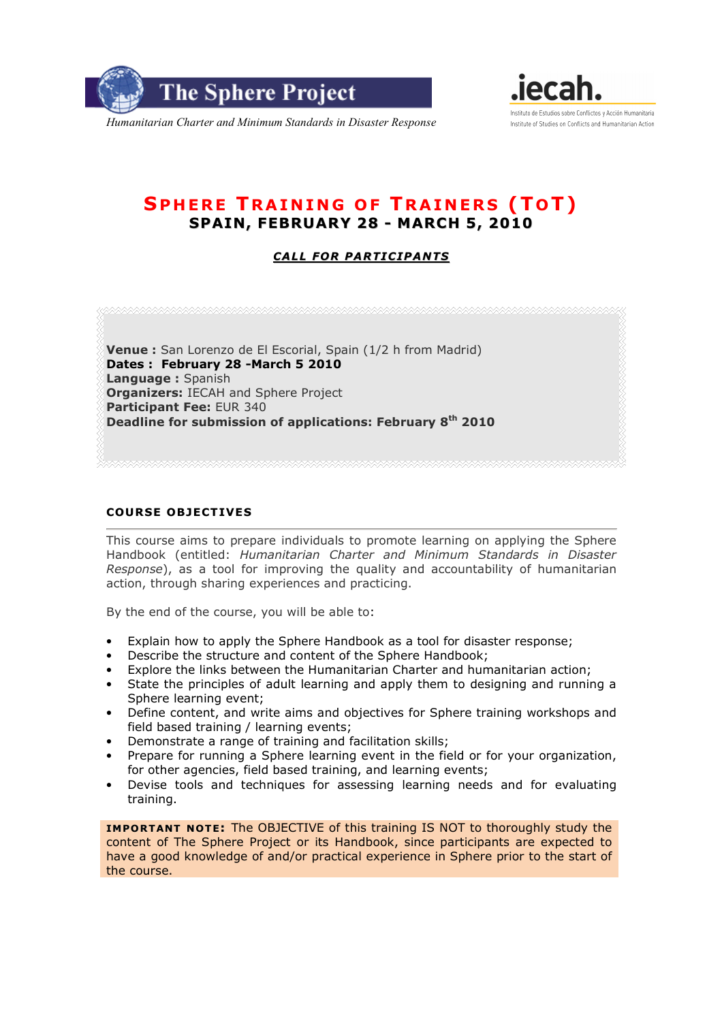





# SPHERE TRAINING OF TRAINERS (TOT) SPAIN, FEBRUARY 28 - MARCH 5, 2010

#### CALL FOR PARTICIPANTS

Venue : San Lorenzo de El Escorial, Spain (1/2 h from Madrid) Dates : February 28 -March 5 2010 Language : Spanish **Organizers: IECAH and Sphere Project** Participant Fee: EUR 340 Deadline for submission of applications: February 8<sup>th</sup> 2010

#### COURSE OBJECTIVES

This course aims to prepare individuals to promote learning on applying the Sphere Handbook (entitled: Humanitarian Charter and Minimum Standards in Disaster Response), as a tool for improving the quality and accountability of humanitarian action, through sharing experiences and practicing.

By the end of the course, you will be able to:

- Explain how to apply the Sphere Handbook as a tool for disaster response;
- Describe the structure and content of the Sphere Handbook;
- Explore the links between the Humanitarian Charter and humanitarian action;
- State the principles of adult learning and apply them to designing and running a Sphere learning event;
- Define content, and write aims and objectives for Sphere training workshops and field based training / learning events;
- Demonstrate a range of training and facilitation skills;
- Prepare for running a Sphere learning event in the field or for your organization, for other agencies, field based training, and learning events;
- Devise tools and techniques for assessing learning needs and for evaluating training.

IMPORTANT NOTE: The OBJECTIVE of this training IS NOT to thoroughly study the content of The Sphere Project or its Handbook, since participants are expected to have a good knowledge of and/or practical experience in Sphere prior to the start of the course.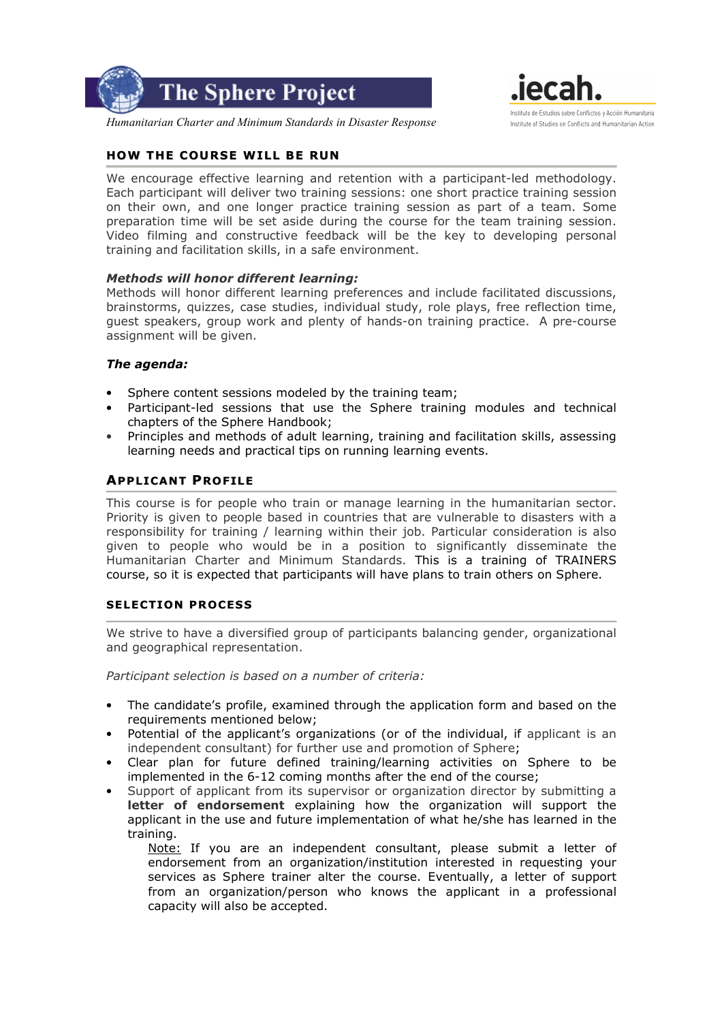



Humanitarian Charter and Minimum Standards in Disaster Response

#### HOW THE COURSE WILL BE RUN

We encourage effective learning and retention with a participant-led methodology. Each participant will deliver two training sessions: one short practice training session on their own, and one longer practice training session as part of a team. Some preparation time will be set aside during the course for the team training session. Video filming and constructive feedback will be the key to developing personal training and facilitation skills, in a safe environment.

#### Methods will honor different learning:

Methods will honor different learning preferences and include facilitated discussions, brainstorms, quizzes, case studies, individual study, role plays, free reflection time, guest speakers, group work and plenty of hands-on training practice. A pre-course assignment will be given.

#### The agenda:

- Sphere content sessions modeled by the training team;
- Participant-led sessions that use the Sphere training modules and technical chapters of the Sphere Handbook;
- Principles and methods of adult learning, training and facilitation skills, assessing learning needs and practical tips on running learning events.

## APPLICANT PROFILE

This course is for people who train or manage learning in the humanitarian sector. Priority is given to people based in countries that are vulnerable to disasters with a responsibility for training / learning within their job. Particular consideration is also given to people who would be in a position to significantly disseminate the Humanitarian Charter and Minimum Standards. This is a training of TRAINERS course, so it is expected that participants will have plans to train others on Sphere.

## SELECTION PROCESS

We strive to have a diversified group of participants balancing gender, organizational and geographical representation.

Participant selection is based on a number of criteria:

- The candidate's profile, examined through the application form and based on the requirements mentioned below;
- Potential of the applicant's organizations (or of the individual, if applicant is an independent consultant) for further use and promotion of Sphere;
- Clear plan for future defined training/learning activities on Sphere to be implemented in the 6-12 coming months after the end of the course;
- Support of applicant from its supervisor or organization director by submitting a letter of endorsement explaining how the organization will support the applicant in the use and future implementation of what he/she has learned in the training.

Note: If you are an independent consultant, please submit a letter of endorsement from an organization/institution interested in requesting your services as Sphere trainer alter the course. Eventually, a letter of support from an organization/person who knows the applicant in a professional capacity will also be accepted.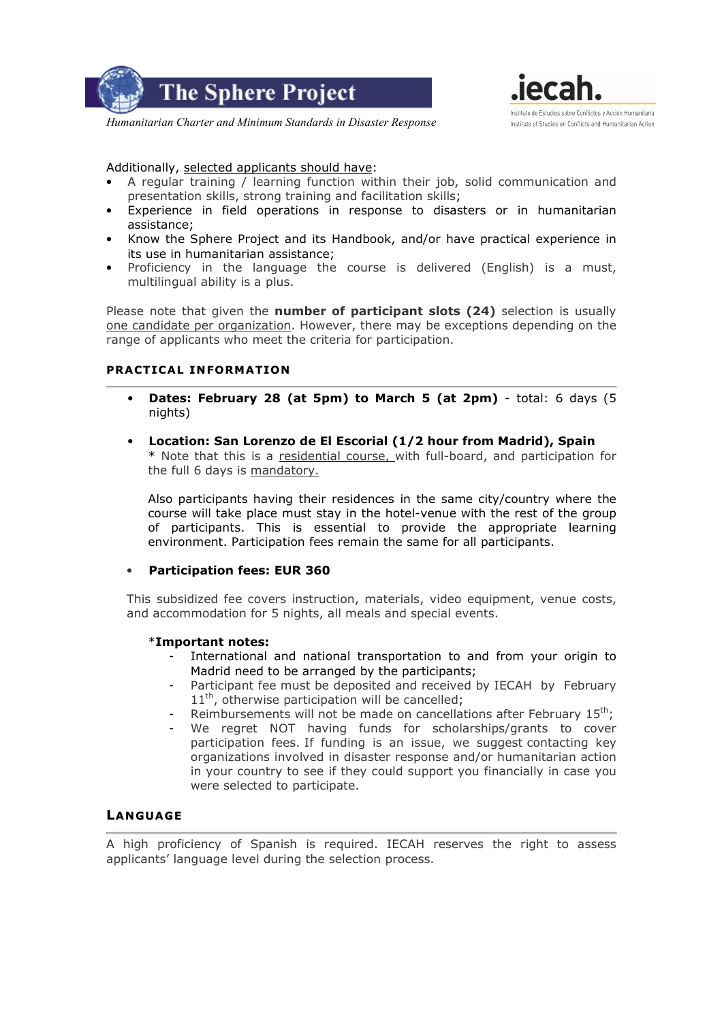



Humanitarian Charter and Minimum Standards in Disaster Response

## Additionally, selected applicants should have:

- A regular training / learning function within their job, solid communication and presentation skills, strong training and facilitation skills;
- Experience in field operations in response to disasters or in humanitarian assistance;
- Know the Sphere Project and its Handbook, and/or have practical experience in its use in humanitarian assistance;
- Proficiency in the language the course is delivered (English) is a must, multilingual ability is a plus.

Please note that given the number of participant slots (24) selection is usually one candidate per organization. However, there may be exceptions depending on the range of applicants who meet the criteria for participation.

#### PRACTICAL INFORMATION

- Dates: February 28 (at 5pm) to March 5 (at 2pm) total: 6 days (5 nights)
- Location: San Lorenzo de El Escorial (1/2 hour from Madrid), Spain \* Note that this is a residential course, with full-board, and participation for the full 6 days is mandatory.

Also participants having their residences in the same city/country where the course will take place must stay in the hotel-venue with the rest of the group of participants. This is essential to provide the appropriate learning environment. Participation fees remain the same for all participants.

#### • Participation fees: EUR 360

This subsidized fee covers instruction, materials, video equipment, venue costs, and accommodation for 5 nights, all meals and special events.

#### \*Important notes:

- International and national transportation to and from your origin to Madrid need to be arranged by the participants;
- Participant fee must be deposited and received by IECAH by February  $11<sup>th</sup>$ , otherwise participation will be cancelled;
- Reimbursements will not be made on cancellations after February 15<sup>th</sup>;
- We regret NOT having funds for scholarships/grants to cover participation fees. If funding is an issue, we suggest contacting key organizations involved in disaster response and/or humanitarian action in your country to see if they could support you financially in case you were selected to participate.

## LANGUAGE

A high proficiency of Spanish is required. IECAH reserves the right to assess applicants' language level during the selection process.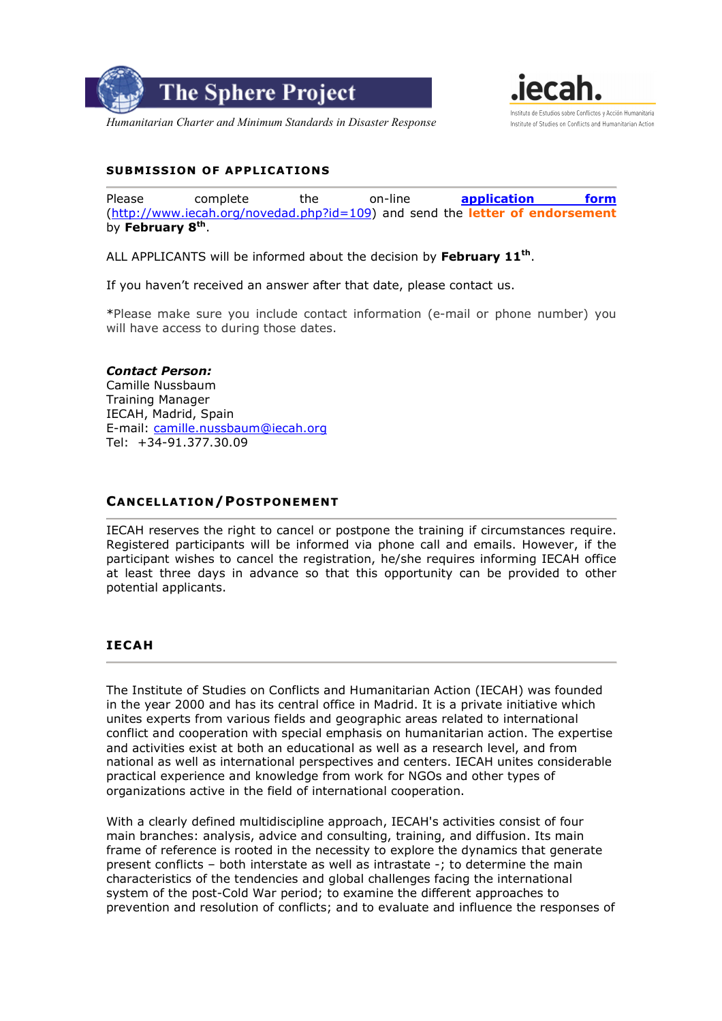



## SUBMISSION OF APPLICATIONS

Please complete the on-line **application form** (http://www.iecah.org/novedad.php?id=109) and send the **letter of endorsement** by February 8<sup>th</sup>.

ALL APPLICANTS will be informed about the decision by February 11<sup>th</sup>.

If you haven't received an answer after that date, please contact us.

\*Please make sure you include contact information (e-mail or phone number) you will have access to during those dates.

#### Contact Person:

Camille Nussbaum Training Manager IECAH, Madrid, Spain E-mail: camille.nussbaum@iecah.org Tel: +34-91.377.30.09

## CANCELLATION/POSTPONEMENT

IECAH reserves the right to cancel or postpone the training if circumstances require. Registered participants will be informed via phone call and emails. However, if the participant wishes to cancel the registration, he/she requires informing IECAH office at least three days in advance so that this opportunity can be provided to other potential applicants.

#### IECAH

The Institute of Studies on Conflicts and Humanitarian Action (IECAH) was founded in the year 2000 and has its central office in Madrid. It is a private initiative which unites experts from various fields and geographic areas related to international conflict and cooperation with special emphasis on humanitarian action. The expertise and activities exist at both an educational as well as a research level, and from national as well as international perspectives and centers. IECAH unites considerable practical experience and knowledge from work for NGOs and other types of organizations active in the field of international cooperation.

With a clearly defined multidiscipline approach, IECAH's activities consist of four main branches: analysis, advice and consulting, training, and diffusion. Its main frame of reference is rooted in the necessity to explore the dynamics that generate present conflicts – both interstate as well as intrastate -; to determine the main characteristics of the tendencies and global challenges facing the international system of the post-Cold War period; to examine the different approaches to prevention and resolution of conflicts; and to evaluate and influence the responses of